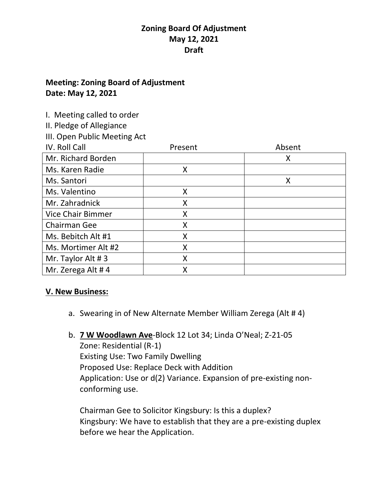### **Meeting: Zoning Board of Adjustment Date: May 12, 2021**

I. Meeting called to order

II. Pledge of Allegiance

III. Open Public Meeting Act

| IV. Roll Call            | Present | Absent |
|--------------------------|---------|--------|
| Mr. Richard Borden       |         | X      |
| Ms. Karen Radie          | Χ       |        |
| Ms. Santori              |         | X      |
| Ms. Valentino            | Χ       |        |
| Mr. Zahradnick           | Χ       |        |
| <b>Vice Chair Bimmer</b> | Χ       |        |
| Chairman Gee             | Χ       |        |
| Ms. Bebitch Alt #1       | Χ       |        |
| Ms. Mortimer Alt #2      | Χ       |        |
| Mr. Taylor Alt #3        | Χ       |        |
| Mr. Zerega Alt #4        |         |        |

### **V. New Business:**

- a. Swearing in of New Alternate Member William Zerega (Alt # 4)
- b. **7 W Woodlawn Ave**-Block 12 Lot 34; Linda O'Neal; Z-21-05 Zone: Residential (R-1) Existing Use: Two Family Dwelling Proposed Use: Replace Deck with Addition Application: Use or d(2) Variance. Expansion of pre-existing nonconforming use.

Chairman Gee to Solicitor Kingsbury: Is this a duplex? Kingsbury: We have to establish that they are a pre-existing duplex before we hear the Application.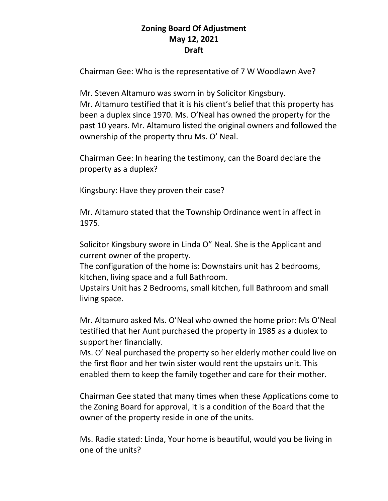Chairman Gee: Who is the representative of 7 W Woodlawn Ave?

Mr. Steven Altamuro was sworn in by Solicitor Kingsbury. Mr. Altamuro testified that it is his client's belief that this property has been a duplex since 1970. Ms. O'Neal has owned the property for the past 10 years. Mr. Altamuro listed the original owners and followed the ownership of the property thru Ms. O' Neal.

Chairman Gee: In hearing the testimony, can the Board declare the property as a duplex?

Kingsbury: Have they proven their case?

Mr. Altamuro stated that the Township Ordinance went in affect in 1975.

Solicitor Kingsbury swore in Linda O" Neal. She is the Applicant and current owner of the property.

The configuration of the home is: Downstairs unit has 2 bedrooms, kitchen, living space and a full Bathroom.

Upstairs Unit has 2 Bedrooms, small kitchen, full Bathroom and small living space.

Mr. Altamuro asked Ms. O'Neal who owned the home prior: Ms O'Neal testified that her Aunt purchased the property in 1985 as a duplex to support her financially.

Ms. O' Neal purchased the property so her elderly mother could live on the first floor and her twin sister would rent the upstairs unit. This enabled them to keep the family together and care for their mother.

Chairman Gee stated that many times when these Applications come to the Zoning Board for approval, it is a condition of the Board that the owner of the property reside in one of the units.

Ms. Radie stated: Linda, Your home is beautiful, would you be living in one of the units?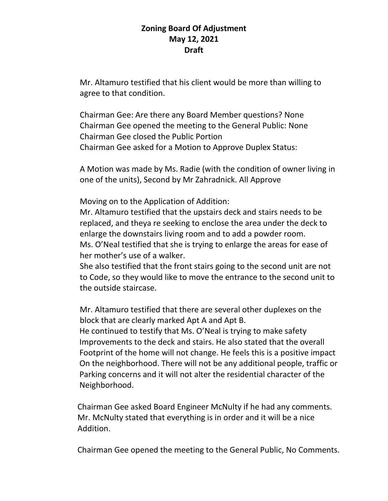Mr. Altamuro testified that his client would be more than willing to agree to that condition.

Chairman Gee: Are there any Board Member questions? None Chairman Gee opened the meeting to the General Public: None Chairman Gee closed the Public Portion Chairman Gee asked for a Motion to Approve Duplex Status:

A Motion was made by Ms. Radie (with the condition of owner living in one of the units), Second by Mr Zahradnick. All Approve

Moving on to the Application of Addition:

Mr. Altamuro testified that the upstairs deck and stairs needs to be replaced, and theya re seeking to enclose the area under the deck to enlarge the downstairs living room and to add a powder room. Ms. O'Neal testified that she is trying to enlarge the areas for ease of her mother's use of a walker.

She also testified that the front stairs going to the second unit are not to Code, so they would like to move the entrance to the second unit to the outside staircase.

Mr. Altamuro testified that there are several other duplexes on the block that are clearly marked Apt A and Apt B.

 He continued to testify that Ms. O'Neal is trying to make safety Improvements to the deck and stairs. He also stated that the overall Footprint of the home will not change. He feels this is a positive impact On the neighborhood. There will not be any additional people, traffic or Parking concerns and it will not alter the residential character of the Neighborhood.

 Chairman Gee asked Board Engineer McNulty if he had any comments. Mr. McNulty stated that everything is in order and it will be a nice Addition.

Chairman Gee opened the meeting to the General Public, No Comments.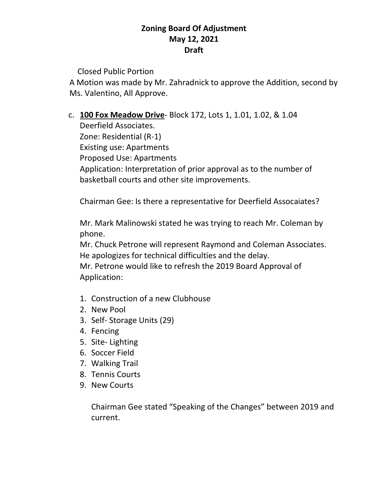Closed Public Portion

 A Motion was made by Mr. Zahradnick to approve the Addition, second by Ms. Valentino, All Approve.

c. **100 Fox Meadow Drive**- Block 172, Lots 1, 1.01, 1.02, & 1.04

Deerfield Associates. Zone: Residential (R-1) Existing use: Apartments Proposed Use: Apartments Application: Interpretation of prior approval as to the number of basketball courts and other site improvements.

Chairman Gee: Is there a representative for Deerfield Assocaiates?

Mr. Mark Malinowski stated he was trying to reach Mr. Coleman by phone.

Mr. Chuck Petrone will represent Raymond and Coleman Associates. He apologizes for technical difficulties and the delay.

Mr. Petrone would like to refresh the 2019 Board Approval of Application:

- 1. Construction of a new Clubhouse
- 2. New Pool
- 3. Self- Storage Units (29)
- 4. Fencing
- 5. Site- Lighting
- 6. Soccer Field
- 7. Walking Trail
- 8. Tennis Courts
- 9. New Courts

Chairman Gee stated "Speaking of the Changes" between 2019 and current.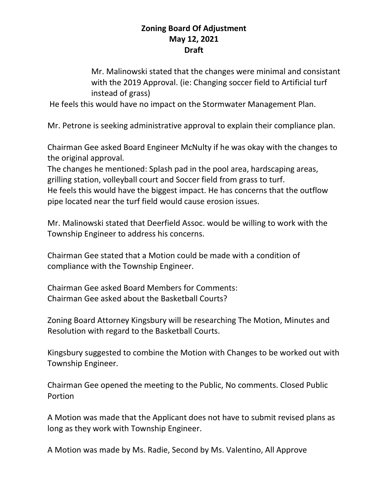Mr. Malinowski stated that the changes were minimal and consistant with the 2019 Approval. (ie: Changing soccer field to Artificial turf instead of grass)

He feels this would have no impact on the Stormwater Management Plan.

Mr. Petrone is seeking administrative approval to explain their compliance plan.

Chairman Gee asked Board Engineer McNulty if he was okay with the changes to the original approval.

The changes he mentioned: Splash pad in the pool area, hardscaping areas, grilling station, volleyball court and Soccer field from grass to turf. He feels this would have the biggest impact. He has concerns that the outflow pipe located near the turf field would cause erosion issues.

Mr. Malinowski stated that Deerfield Assoc. would be willing to work with the Township Engineer to address his concerns.

Chairman Gee stated that a Motion could be made with a condition of compliance with the Township Engineer.

Chairman Gee asked Board Members for Comments: Chairman Gee asked about the Basketball Courts?

Zoning Board Attorney Kingsbury will be researching The Motion, Minutes and Resolution with regard to the Basketball Courts.

Kingsbury suggested to combine the Motion with Changes to be worked out with Township Engineer.

Chairman Gee opened the meeting to the Public, No comments. Closed Public Portion

A Motion was made that the Applicant does not have to submit revised plans as long as they work with Township Engineer.

A Motion was made by Ms. Radie, Second by Ms. Valentino, All Approve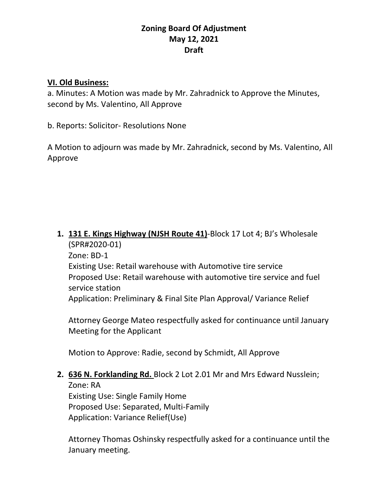#### **VI. Old Business:**

a. Minutes: A Motion was made by Mr. Zahradnick to Approve the Minutes, second by Ms. Valentino, All Approve

b. Reports: Solicitor- Resolutions None

A Motion to adjourn was made by Mr. Zahradnick, second by Ms. Valentino, All Approve

**1. 131 E. Kings Highway (NJSH Route 41)**-Block 17 Lot 4; BJ's Wholesale (SPR#2020-01) Zone: BD-1 Existing Use: Retail warehouse with Automotive tire service Proposed Use: Retail warehouse with automotive tire service and fuel service station Application: Preliminary & Final Site Plan Approval/ Variance Relief

Attorney George Mateo respectfully asked for continuance until January Meeting for the Applicant

Motion to Approve: Radie, second by Schmidt, All Approve

# **2. 636 N. Forklanding Rd.** Block 2 Lot 2.01 Mr and Mrs Edward Nusslein; Zone: RA

Existing Use: Single Family Home Proposed Use: Separated, Multi-Family Application: Variance Relief(Use)

Attorney Thomas Oshinsky respectfully asked for a continuance until the January meeting.